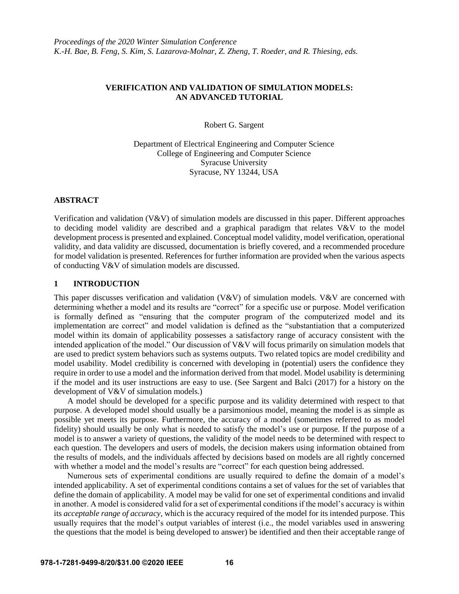# **VERIFICATION AND VALIDATION OF SIMULATION MODELS: AN ADVANCED TUTORIAL**

Robert G. Sargent

Department of Electrical Engineering and Computer Science College of Engineering and Computer Science Syracuse University Syracuse, NY 13244, USA

# **ABSTRACT**

Verification and validation (V&V) of simulation models are discussed in this paper. Different approaches to deciding model validity are described and a graphical paradigm that relates V&V to the model development process is presented and explained. Conceptual model validity, model verification, operational validity, and data validity are discussed, documentation is briefly covered, and a recommended procedure for model validation is presented. References for further information are provided when the various aspects of conducting V&V of simulation models are discussed.

# **1 INTRODUCTION**

This paper discusses verification and validation (V&V) of simulation models. V&V are concerned with determining whether a model and its results are "correct" for a specific use or purpose. Model verification is formally defined as "ensuring that the computer program of the computerized model and its implementation are correct" and model validation is defined as the "substantiation that a computerized model within its domain of applicability possesses a satisfactory range of accuracy consistent with the intended application of the model." Our discussion of V&V will focus primarily on simulation models that are used to predict system behaviors such as systems outputs. Two related topics are model credibility and model usability. Model credibility is concerned with developing in (potential) users the confidence they require in order to use a model and the information derived from that model. Model usability is determining if the model and its user instructions are easy to use. (See Sargent and Balci (2017) for a history on the development of V&V of simulation models.)

A model should be developed for a specific purpose and its validity determined with respect to that purpose. A developed model should usually be a parsimonious model, meaning the model is as simple as possible yet meets its purpose. Furthermore, the accuracy of a model (sometimes referred to as model fidelity) should usually be only what is needed to satisfy the model's use or purpose. If the purpose of a model is to answer a variety of questions, the validity of the model needs to be determined with respect to each question. The developers and users of models, the decision makers using information obtained from the results of models, and the individuals affected by decisions based on models are all rightly concerned with whether a model and the model's results are "correct" for each question being addressed.

Numerous sets of experimental conditions are usually required to define the domain of a model's intended applicability. A set of experimental conditions contains a set of values for the set of variables that define the domain of applicability. A model may be valid for one set of experimental conditions and invalid in another. A model is considered valid for a set of experimental conditions if the model's accuracy is within its *acceptable range of accuracy*, which is the accuracy required of the model for its intended purpose. This usually requires that the model's output variables of interest (i.e., the model variables used in answering the questions that the model is being developed to answer) be identified and then their acceptable range of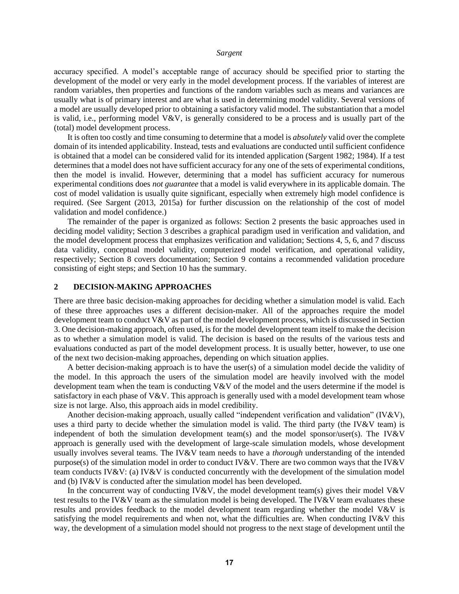accuracy specified. A model's acceptable range of accuracy should be specified prior to starting the development of the model or very early in the model development process. If the variables of interest are random variables, then properties and functions of the random variables such as means and variances are usually what is of primary interest and are what is used in determining model validity. Several versions of a model are usually developed prior to obtaining a satisfactory valid model. The substantiation that a model is valid, i.e., performing model V&V, is generally considered to be a process and is usually part of the (total) model development process.

It is often too costly and time consuming to determine that a model is *absolutely* valid over the complete domain of its intended applicability. Instead, tests and evaluations are conducted until sufficient confidence is obtained that a model can be considered valid for its intended application (Sargent 1982; 1984). If a test determines that a model does not have sufficient accuracy for any one of the sets of experimental conditions, then the model is invalid. However, determining that a model has sufficient accuracy for numerous experimental conditions does *not guarantee* that a model is valid everywhere in its applicable domain. The cost of model validation is usually quite significant, especially when extremely high model confidence is required. (See Sargent (2013, 2015a) for further discussion on the relationship of the cost of model validation and model confidence.)

The remainder of the paper is organized as follows: Section 2 presents the basic approaches used in deciding model validity; Section 3 describes a graphical paradigm used in verification and validation, and the model development process that emphasizes verification and validation; Sections 4, 5, 6, and 7 discuss data validity, conceptual model validity, computerized model verification, and operational validity, respectively; Section 8 covers documentation; Section 9 contains a recommended validation procedure consisting of eight steps; and Section 10 has the summary.

#### **2 DECISION-MAKING APPROACHES**

There are three basic decision-making approaches for deciding whether a simulation model is valid. Each of these three approaches uses a different decision-maker. All of the approaches require the model development team to conduct V&V as part of the model development process, which is discussed in Section 3. One decision-making approach, often used, is for the model development team itself to make the decision as to whether a simulation model is valid. The decision is based on the results of the various tests and evaluations conducted as part of the model development process. It is usually better, however, to use one of the next two decision-making approaches, depending on which situation applies.

A better decision-making approach is to have the user(s) of a simulation model decide the validity of the model. In this approach the users of the simulation model are heavily involved with the model development team when the team is conducting V&V of the model and the users determine if the model is satisfactory in each phase of V&V. This approach is generally used with a model development team whose size is not large. Also, this approach aids in model credibility.

Another decision-making approach, usually called "independent verification and validation" (IV&V), uses a third party to decide whether the simulation model is valid. The third party (the IV&V team) is independent of both the simulation development team(s) and the model sponsor/user(s). The IV&V approach is generally used with the development of large-scale simulation models, whose development usually involves several teams. The IV&V team needs to have a *thorough* understanding of the intended purpose(s) of the simulation model in order to conduct IV&V. There are two common ways that the IV&V team conducts IV&V: (a) IV&V is conducted concurrently with the development of the simulation model and (b) IV&V is conducted after the simulation model has been developed.

In the concurrent way of conducting IV&V, the model development team(s) gives their model V&V test results to the IV&V team as the simulation model is being developed. The IV&V team evaluates these results and provides feedback to the model development team regarding whether the model V&V is satisfying the model requirements and when not, what the difficulties are. When conducting IV&V this way, the development of a simulation model should not progress to the next stage of development until the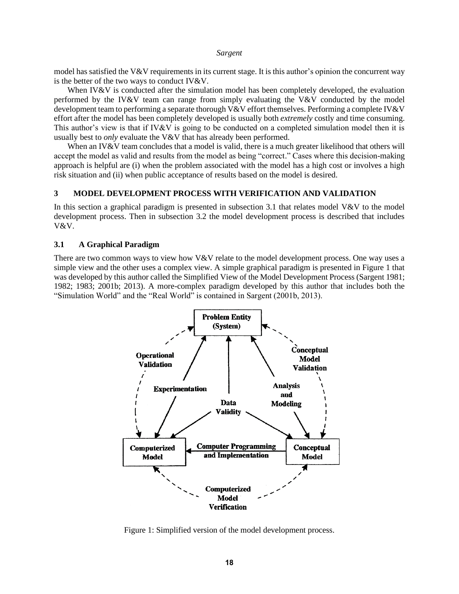model has satisfied the V&V requirements in its current stage. It is this author's opinion the concurrent way is the better of the two ways to conduct IV&V.

When IV&V is conducted after the simulation model has been completely developed, the evaluation performed by the IV&V team can range from simply evaluating the V&V conducted by the model development team to performing a separate thorough V&V effort themselves. Performing a complete IV&V effort after the model has been completely developed is usually both *extremely* costly and time consuming. This author's view is that if IV&V is going to be conducted on a completed simulation model then it is usually best to *only* evaluate the V&V that has already been performed.

When an IV&V team concludes that a model is valid, there is a much greater likelihood that others will accept the model as valid and results from the model as being "correct." Cases where this decision-making approach is helpful are (i) when the problem associated with the model has a high cost or involves a high risk situation and (ii) when public acceptance of results based on the model is desired.

# **3 MODEL DEVELOPMENT PROCESS WITH VERIFICATION AND VALIDATION**

In this section a graphical paradigm is presented in subsection 3.1 that relates model V&V to the model development process. Then in subsection 3.2 the model development process is described that includes V&V.

### **3.1 A Graphical Paradigm**

There are two common ways to view how V&V relate to the model development process. One way uses a simple view and the other uses a complex view. A simple graphical paradigm is presented in Figure 1 that was developed by this author called the Simplified View of the Model Development Process (Sargent 1981; 1982; 1983; 2001b; 2013). A more-complex paradigm developed by this author that includes both the "Simulation World" and the "Real World" is contained in Sargent (2001b, 2013).



Figure 1: Simplified version of the model development process.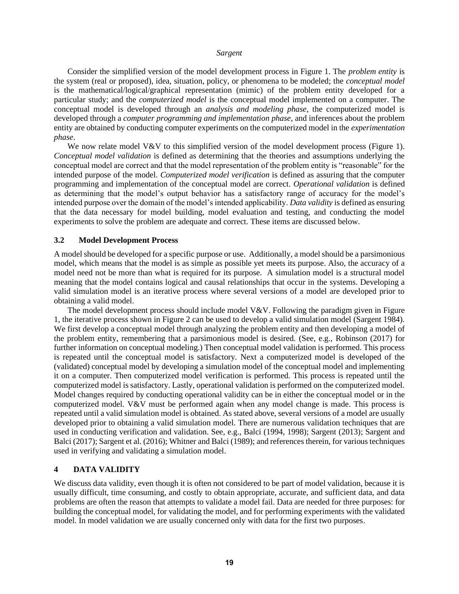Consider the simplified version of the model development process in Figure 1. The *problem entity* is the system (real or proposed), idea, situation, policy, or phenomena to be modeled; the *conceptual model*  is the mathematical/logical/graphical representation (mimic) of the problem entity developed for a particular study; and the *computerized model* is the conceptual model implemented on a computer. The conceptual model is developed through an *analysis and modeling phase*, the computerized model is developed through a *computer programming and implementation phase*, and inferences about the problem entity are obtained by conducting computer experiments on the computerized model in the *experimentation phase*.

We now relate model  $V\&V$  to this simplified version of the model development process (Figure 1). *Conceptual model validation* is defined as determining that the theories and assumptions underlying the conceptual model are correct and that the model representation of the problem entity is "reasonable" for the intended purpose of the model. *Computerized model verification* is defined as assuring that the computer programming and implementation of the conceptual model are correct. *Operational validation* is defined as determining that the model's output behavior has a satisfactory range of accuracy for the model's intended purpose over the domain of the model's intended applicability. *Data validity* is defined as ensuring that the data necessary for model building, model evaluation and testing, and conducting the model experiments to solve the problem are adequate and correct. These items are discussed below.

#### **3.2 Model Development Process**

A model should be developed for a specific purpose or use. Additionally, a model should be a parsimonious model, which means that the model is as simple as possible yet meets its purpose. Also, the accuracy of a model need not be more than what is required for its purpose. A simulation model is a structural model meaning that the model contains logical and causal relationships that occur in the systems. Developing a valid simulation model is an iterative process where several versions of a model are developed prior to obtaining a valid model.

The model development process should include model  $V&V$ . Following the paradigm given in Figure 1, the iterative process shown in Figure 2 can be used to develop a valid simulation model (Sargent 1984). We first develop a conceptual model through analyzing the problem entity and then developing a model of the problem entity, remembering that a parsimonious model is desired. (See, e.g., Robinson (2017) for further information on conceptual modeling.) Then conceptual model validation is performed. This process is repeated until the conceptual model is satisfactory. Next a computerized model is developed of the (validated) conceptual model by developing a simulation model of the conceptual model and implementing it on a computer. Then computerized model verification is performed. This process is repeated until the computerized model is satisfactory. Lastly, operational validation is performed on the computerized model. Model changes required by conducting operational validity can be in either the conceptual model or in the computerized model. V&V must be performed again when any model change is made. This process is repeated until a valid simulation model is obtained. As stated above, several versions of a model are usually developed prior to obtaining a valid simulation model. There are numerous validation techniques that are used in conducting verification and validation. See, e.g., Balci (1994, 1998); Sargent (2013); Sargent and Balci (2017); Sargent et al. (2016); Whitner and Balci (1989); and references therein, for various techniques used in verifying and validating a simulation model.

### **4 DATA VALIDITY**

We discuss data validity, even though it is often not considered to be part of model validation, because it is usually difficult, time consuming, and costly to obtain appropriate, accurate, and sufficient data, and data problems are often the reason that attempts to validate a model fail. Data are needed for three purposes: for building the conceptual model, for validating the model, and for performing experiments with the validated model. In model validation we are usually concerned only with data for the first two purposes.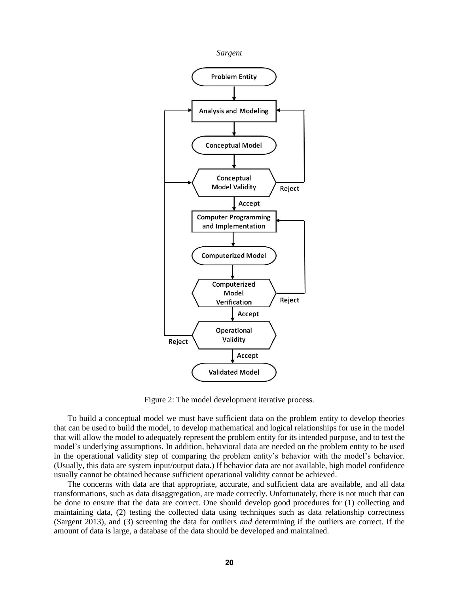



Figure 2: The model development iterative process.

To build a conceptual model we must have sufficient data on the problem entity to develop theories that can be used to build the model, to develop mathematical and logical relationships for use in the model that will allow the model to adequately represent the problem entity for its intended purpose, and to test the model's underlying assumptions. In addition, behavioral data are needed on the problem entity to be used in the operational validity step of comparing the problem entity's behavior with the model's behavior. (Usually, this data are system input/output data.) If behavior data are not available, high model confidence usually cannot be obtained because sufficient operational validity cannot be achieved.

The concerns with data are that appropriate, accurate, and sufficient data are available, and all data transformations, such as data disaggregation, are made correctly. Unfortunately, there is not much that can be done to ensure that the data are correct. One should develop good procedures for (1) collecting and maintaining data, (2) testing the collected data using techniques such as data relationship correctness (Sargent 2013), and (3) screening the data for outliers *and* determining if the outliers are correct. If the amount of data is large, a database of the data should be developed and maintained.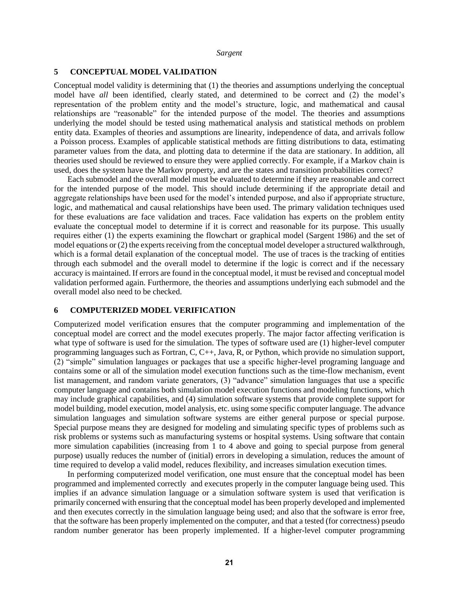# **5 CONCEPTUAL MODEL VALIDATION**

Conceptual model validity is determining that (1) the theories and assumptions underlying the conceptual model have *all* been identified, clearly stated, and determined to be correct and (2) the model's representation of the problem entity and the model's structure, logic, and mathematical and causal relationships are "reasonable" for the intended purpose of the model. The theories and assumptions underlying the model should be tested using mathematical analysis and statistical methods on problem entity data. Examples of theories and assumptions are linearity, independence of data, and arrivals follow a Poisson process. Examples of applicable statistical methods are fitting distributions to data, estimating parameter values from the data, and plotting data to determine if the data are stationary. In addition, all theories used should be reviewed to ensure they were applied correctly. For example, if a Markov chain is used, does the system have the Markov property, and are the states and transition probabilities correct?

Each submodel and the overall model must be evaluated to determine if they are reasonable and correct for the intended purpose of the model. This should include determining if the appropriate detail and aggregate relationships have been used for the model's intended purpose, and also if appropriate structure, logic, and mathematical and causal relationships have been used. The primary validation techniques used for these evaluations are face validation and traces. Face validation has experts on the problem entity evaluate the conceptual model to determine if it is correct and reasonable for its purpose. This usually requires either (1) the experts examining the flowchart or graphical model (Sargent 1986) and the set of model equations or (2) the experts receiving from the conceptual model developer a structured walkthrough, which is a formal detail explanation of the conceptual model. The use of traces is the tracking of entities through each submodel and the overall model to determine if the logic is correct and if the necessary accuracy is maintained. If errors are found in the conceptual model, it must be revised and conceptual model validation performed again. Furthermore, the theories and assumptions underlying each submodel and the overall model also need to be checked.

### **6 COMPUTERIZED MODEL VERIFICATION**

Computerized model verification ensures that the computer programming and implementation of the conceptual model are correct and the model executes properly. The major factor affecting verification is what type of software is used for the simulation. The types of software used are (1) higher-level computer programming languages such as Fortran, C, C++, Java, R, or Python, which provide no simulation support, (2) "simple" simulation languages or packages that use a specific higher-level programing language and contains some or all of the simulation model execution functions such as the time-flow mechanism, event list management, and random variate generators, (3) "advance" simulation languages that use a specific computer language and contains both simulation model execution functions and modeling functions, which may include graphical capabilities, and (4) simulation software systems that provide complete support for model building, model execution, model analysis, etc. using some specific computer language. The advance simulation languages and simulation software systems are either general purpose or special purpose. Special purpose means they are designed for modeling and simulating specific types of problems such as risk problems or systems such as manufacturing systems or hospital systems. Using software that contain more simulation capabilities (increasing from 1 to 4 above and going to special purpose from general purpose) usually reduces the number of (initial) errors in developing a simulation, reduces the amount of time required to develop a valid model, reduces flexibility, and increases simulation execution times.

In performing computerized model verification, one must ensure that the conceptual model has been programmed and implemented correctly and executes properly in the computer language being used. This implies if an advance simulation language or a simulation software system is used that verification is primarily concerned with ensuring that the conceptual model has been properly developed and implemented and then executes correctly in the simulation language being used; and also that the software is error free, that the software has been properly implemented on the computer, and that a tested (for correctness) pseudo random number generator has been properly implemented. If a higher-level computer programming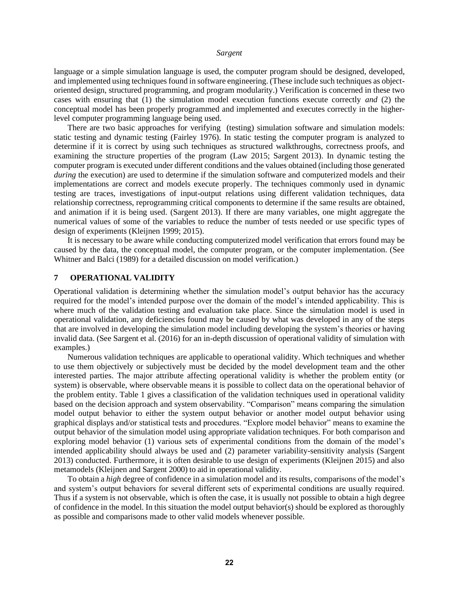language or a simple simulation language is used, the computer program should be designed, developed, and implemented using techniques found in software engineering. (These include such techniques as objectoriented design, structured programming, and program modularity.) Verification is concerned in these two cases with ensuring that (1) the simulation model execution functions execute correctly *and* (2) the conceptual model has been properly programmed and implemented and executes correctly in the higherlevel computer programming language being used.

There are two basic approaches for verifying (testing) simulation software and simulation models: static testing and dynamic testing (Fairley 1976). In static testing the computer program is analyzed to determine if it is correct by using such techniques as structured walkthroughs, correctness proofs, and examining the structure properties of the program (Law 2015; Sargent 2013). In dynamic testing the computer program is executed under different conditions and the values obtained (including those generated *during* the execution) are used to determine if the simulation software and computerized models and their implementations are correct and models execute properly. The techniques commonly used in dynamic testing are traces, investigations of input-output relations using different validation techniques, data relationship correctness, reprogramming critical components to determine if the same results are obtained, and animation if it is being used. (Sargent 2013). If there are many variables, one might aggregate the numerical values of some of the variables to reduce the number of tests needed or use specific types of design of experiments (Kleijnen 1999; 2015).

It is necessary to be aware while conducting computerized model verification that errors found may be caused by the data, the conceptual model, the computer program, or the computer implementation. (See Whitner and Balci (1989) for a detailed discussion on model verification.)

### **7 OPERATIONAL VALIDITY**

Operational validation is determining whether the simulation model's output behavior has the accuracy required for the model's intended purpose over the domain of the model's intended applicability. This is where much of the validation testing and evaluation take place. Since the simulation model is used in operational validation, any deficiencies found may be caused by what was developed in any of the steps that are involved in developing the simulation model including developing the system's theories or having invalid data. (See Sargent et al. (2016) for an in-depth discussion of operational validity of simulation with examples.)

Numerous validation techniques are applicable to operational validity. Which techniques and whether to use them objectively or subjectively must be decided by the model development team and the other interested parties. The major attribute affecting operational validity is whether the problem entity (or system) is observable, where observable means it is possible to collect data on the operational behavior of the problem entity. Table 1 gives a classification of the validation techniques used in operational validity based on the decision approach and system observability. "Comparison" means comparing the simulation model output behavior to either the system output behavior or another model output behavior using graphical displays and/or statistical tests and procedures. "Explore model behavior" means to examine the output behavior of the simulation model using appropriate validation techniques. For both comparison and exploring model behavior (1) various sets of experimental conditions from the domain of the model's intended applicability should always be used and (2) parameter variability-sensitivity analysis (Sargent 2013) conducted. Furthermore, it is often desirable to use design of experiments (Kleijnen 2015) and also metamodels (Kleijnen and Sargent 2000) to aid in operational validity.

To obtain a *high* degree of confidence in a simulation model and its results, comparisons of the model's and system's output behaviors for several different sets of experimental conditions are usually required. Thus if a system is not observable, which is often the case, it is usually not possible to obtain a high degree of confidence in the model. In this situation the model output behavior(s) should be explored as thoroughly as possible and comparisons made to other valid models whenever possible.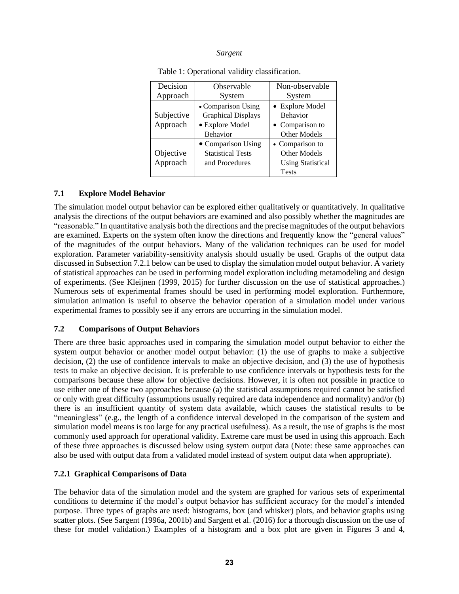| Decision   | Observable                | Non-observable           |
|------------|---------------------------|--------------------------|
| Approach   | System                    | System                   |
|            | • Comparison Using        | • Explore Model          |
| Subjective | <b>Graphical Displays</b> | <b>Behavior</b>          |
| Approach   | • Explore Model           | • Comparison to          |
|            | <b>Behavior</b>           | <b>Other Models</b>      |
|            | • Comparison Using        | • Comparison to          |
| Objective  | <b>Statistical Tests</b>  | Other Models             |
| Approach   | and Procedures            | <b>Using Statistical</b> |
|            |                           | <b>Tests</b>             |

Table 1: Operational validity classification.

# **7.1 Explore Model Behavior**

The simulation model output behavior can be explored either qualitatively or quantitatively. In qualitative analysis the directions of the output behaviors are examined and also possibly whether the magnitudes are "reasonable." In quantitative analysis both the directions and the precise magnitudes of the output behaviors are examined. Experts on the system often know the directions and frequently know the "general values" of the magnitudes of the output behaviors. Many of the validation techniques can be used for model exploration. Parameter variability-sensitivity analysis should usually be used. Graphs of the output data discussed in Subsection 7.2.1 below can be used to display the simulation model output behavior. A variety of statistical approaches can be used in performing model exploration including metamodeling and design of experiments. (See Kleijnen (1999, 2015) for further discussion on the use of statistical approaches.) Numerous sets of experimental frames should be used in performing model exploration. Furthermore, simulation animation is useful to observe the behavior operation of a simulation model under various experimental frames to possibly see if any errors are occurring in the simulation model.

# **7.2 Comparisons of Output Behaviors**

There are three basic approaches used in comparing the simulation model output behavior to either the system output behavior or another model output behavior: (1) the use of graphs to make a subjective decision, (2) the use of confidence intervals to make an objective decision, and (3) the use of hypothesis tests to make an objective decision. It is preferable to use confidence intervals or hypothesis tests for the comparisons because these allow for objective decisions. However, it is often not possible in practice to use either one of these two approaches because (a) the statistical assumptions required cannot be satisfied or only with great difficulty (assumptions usually required are data independence and normality) and/or (b) there is an insufficient quantity of system data available, which causes the statistical results to be "meaningless" (e.g., the length of a confidence interval developed in the comparison of the system and simulation model means is too large for any practical usefulness). As a result, the use of graphs is the most commonly used approach for operational validity. Extreme care must be used in using this approach. Each of these three approaches is discussed below using system output data (Note: these same approaches can also be used with output data from a validated model instead of system output data when appropriate).

# **7.2.1 Graphical Comparisons of Data**

The behavior data of the simulation model and the system are graphed for various sets of experimental conditions to determine if the model's output behavior has sufficient accuracy for the model's intended purpose. Three types of graphs are used: histograms, box (and whisker) plots, and behavior graphs using scatter plots. (See Sargent (1996a, 2001b) and Sargent et al. (2016) for a thorough discussion on the use of these for model validation.) Examples of a histogram and a box plot are given in Figures 3 and 4,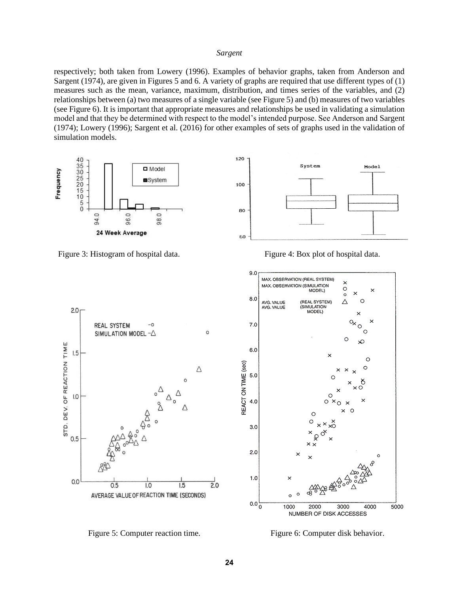respectively; both taken from Lowery (1996). Examples of behavior graphs, taken from Anderson and Sargent (1974), are given in Figures 5 and 6. A variety of graphs are required that use different types of (1) measures such as the mean, variance, maximum, distribution, and times series of the variables, and (2) relationships between (a) two measures of a single variable (see Figure 5) and (b) measures of two variables (see Figure 6). It is important that appropriate measures and relationships be used in validating a simulation model and that they be determined with respect to the model's intended purpose. See Anderson and Sargent (1974); Lowery (1996); Sargent et al. (2016) for other examples of sets of graphs used in the validation of simulation models.



Figure 3: Histogram of hospital data. Figure 4: Box plot of hospital data.







Figure 5: Computer reaction time. Figure 6: Computer disk behavior.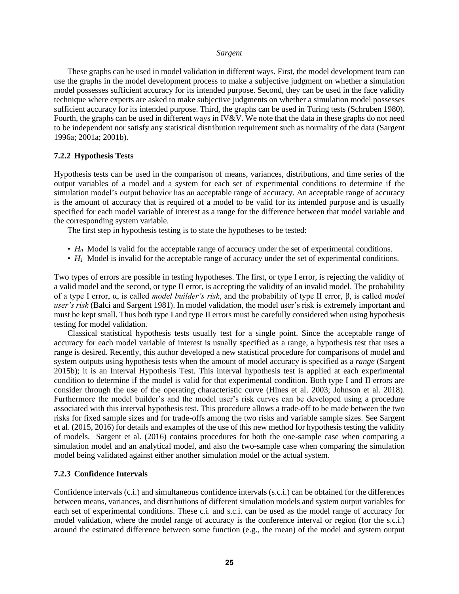These graphs can be used in model validation in different ways. First, the model development team can use the graphs in the model development process to make a subjective judgment on whether a simulation model possesses sufficient accuracy for its intended purpose. Second, they can be used in the face validity technique where experts are asked to make subjective judgments on whether a simulation model possesses sufficient accuracy for its intended purpose. Third, the graphs can be used in Turing tests (Schruben 1980). Fourth, the graphs can be used in different ways in IV&V. We note that the data in these graphs do not need to be independent nor satisfy any statistical distribution requirement such as normality of the data (Sargent 1996a; 2001a; 2001b).

#### **7.2.2 Hypothesis Tests**

Hypothesis tests can be used in the comparison of means, variances, distributions, and time series of the output variables of a model and a system for each set of experimental conditions to determine if the simulation model's output behavior has an acceptable range of accuracy. An acceptable range of accuracy is the amount of accuracy that is required of a model to be valid for its intended purpose and is usually specified for each model variable of interest as a range for the difference between that model variable and the corresponding system variable.

The first step in hypothesis testing is to state the hypotheses to be tested:

- *H<sub>0</sub>* Model is valid for the acceptable range of accuracy under the set of experimental conditions.
- $H_1$  Model is invalid for the acceptable range of accuracy under the set of experimental conditions.

Two types of errors are possible in testing hypotheses. The first, or type I error, is rejecting the validity of a valid model and the second, or type II error, is accepting the validity of an invalid model. The probability of a type I error, α, is called *model builder's risk*, and the probability of type II error, β, is called *model user's risk* (Balci and Sargent 1981). In model validation, the model user's risk is extremely important and must be kept small. Thus both type I and type II errors must be carefully considered when using hypothesis testing for model validation.

Classical statistical hypothesis tests usually test for a single point. Since the acceptable range of accuracy for each model variable of interest is usually specified as a range, a hypothesis test that uses a range is desired. Recently, this author developed a new statistical procedure for comparisons of model and system outputs using hypothesis tests when the amount of model accuracy is specified as a *range* (Sargent 2015b); it is an Interval Hypothesis Test. This interval hypothesis test is applied at each experimental condition to determine if the model is valid for that experimental condition. Both type I and II errors are consider through the use of the operating characteristic curve (Hines et al. 2003; Johnson et al. 2018). Furthermore the model builder's and the model user's risk curves can be developed using a procedure associated with this interval hypothesis test. This procedure allows a trade-off to be made between the two risks for fixed sample sizes and for trade-offs among the two risks and variable sample sizes. See Sargent et al. (2015, 2016) for details and examples of the use of this new method for hypothesis testing the validity of models. Sargent et al. (2016) contains procedures for both the one-sample case when comparing a simulation model and an analytical model, and also the two-sample case when comparing the simulation model being validated against either another simulation model or the actual system.

### **7.2.3 Confidence Intervals**

Confidence intervals (c.i.) and simultaneous confidence intervals (s.c.i.) can be obtained for the differences between means, variances, and distributions of different simulation models and system output variables for each set of experimental conditions. These c.i. and s.c.i. can be used as the model range of accuracy for model validation, where the model range of accuracy is the conference interval or region (for the s.c.i.) around the estimated difference between some function (e.g., the mean) of the model and system output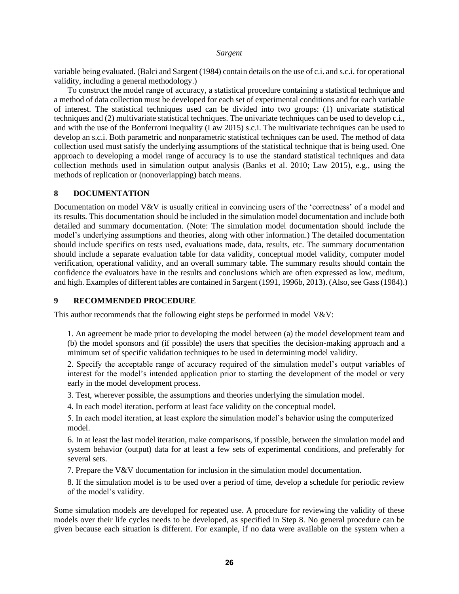variable being evaluated. (Balci and Sargent (1984) contain details on the use of c.i. and s.c.i. for operational validity, including a general methodology.)

To construct the model range of accuracy, a statistical procedure containing a statistical technique and a method of data collection must be developed for each set of experimental conditions and for each variable of interest. The statistical techniques used can be divided into two groups: (1) univariate statistical techniques and (2) multivariate statistical techniques. The univariate techniques can be used to develop c.i., and with the use of the Bonferroni inequality (Law 2015) s.c.i. The multivariate techniques can be used to develop an s.c.i. Both parametric and nonparametric statistical techniques can be used. The method of data collection used must satisfy the underlying assumptions of the statistical technique that is being used. One approach to developing a model range of accuracy is to use the standard statistical techniques and data collection methods used in simulation output analysis (Banks et al. 2010; Law 2015), e.g., using the methods of replication or (nonoverlapping) batch means.

# **8 DOCUMENTATION**

Documentation on model V&V is usually critical in convincing users of the 'correctness' of a model and its results. This documentation should be included in the simulation model documentation and include both detailed and summary documentation. (Note: The simulation model documentation should include the model's underlying assumptions and theories, along with other information.) The detailed documentation should include specifics on tests used, evaluations made, data, results, etc. The summary documentation should include a separate evaluation table for data validity, conceptual model validity, computer model verification, operational validity, and an overall summary table. The summary results should contain the confidence the evaluators have in the results and conclusions which are often expressed as low, medium, and high. Examples of different tables are contained in Sargent (1991, 1996b, 2013). (Also, see Gass (1984).)

# **9 RECOMMENDED PROCEDURE**

This author recommends that the following eight steps be performed in model  $V\&V$ :

1. An agreement be made prior to developing the model between (a) the model development team and (b) the model sponsors and (if possible) the users that specifies the decision-making approach and a minimum set of specific validation techniques to be used in determining model validity.

2. Specify the acceptable range of accuracy required of the simulation model's output variables of interest for the model's intended application prior to starting the development of the model or very early in the model development process.

3. Test, wherever possible, the assumptions and theories underlying the simulation model.

4. In each model iteration, perform at least face validity on the conceptual model.

5. In each model iteration, at least explore the simulation model's behavior using the computerized model.

6. In at least the last model iteration, make comparisons, if possible, between the simulation model and system behavior (output) data for at least a few sets of experimental conditions, and preferably for several sets.

7. Prepare the V&V documentation for inclusion in the simulation model documentation.

8. If the simulation model is to be used over a period of time, develop a schedule for periodic review of the model's validity.

Some simulation models are developed for repeated use. A procedure for reviewing the validity of these models over their life cycles needs to be developed, as specified in Step 8. No general procedure can be given because each situation is different. For example, if no data were available on the system when a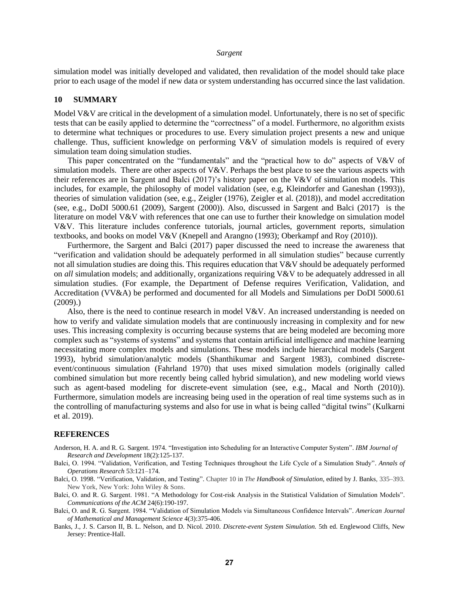simulation model was initially developed and validated, then revalidation of the model should take place prior to each usage of the model if new data or system understanding has occurred since the last validation.

### **10 SUMMARY**

Model V&V are critical in the development of a simulation model. Unfortunately, there is no set of specific tests that can be easily applied to determine the "correctness" of a model. Furthermore, no algorithm exists to determine what techniques or procedures to use. Every simulation project presents a new and unique challenge. Thus, sufficient knowledge on performing V&V of simulation models is required of every simulation team doing simulation studies.

This paper concentrated on the "fundamentals" and the "practical how to do" aspects of V&V of simulation models. There are other aspects of  $V&V$ . Perhaps the best place to see the various aspects with their references are in Sargent and Balci (2017)'s history paper on the V&V of simulation models. This includes, for example, the philosophy of model validation (see, e.g, Kleindorfer and Ganeshan (1993)), theories of simulation validation (see, e.g., Zeigler (1976), Zeigler et al. (2018)), and model accreditation (see, e.g., DoDI 5000.61 (2009), Sargent (2000)). Also, discussed in Sargent and Balci (2017) is the literature on model V&V with references that one can use to further their knowledge on simulation model V&V. This literature includes conference tutorials, journal articles, government reports, simulation textbooks, and books on model V&V (Knepell and Arangno (1993); Oberkampf and Roy (2010)).

Furthermore, the Sargent and Balci (2017) paper discussed the need to increase the awareness that "verification and validation should be adequately performed in all simulation studies" because currently not all simulation studies are doing this. This requires education that  $V&V$  should be adequately performed on *all* simulation models; and additionally, organizations requiring V&V to be adequately addressed in all simulation studies. (For example, the Department of Defense requires Verification, Validation, and Accreditation (VV&A) be performed and documented for all Models and Simulations per DoDI 5000.61 (2009).)

Also, there is the need to continue research in model  $V&V$ . An increased understanding is needed on how to verify and validate simulation models that are continuously increasing in complexity and for new uses. This increasing complexity is occurring because systems that are being modeled are becoming more complex such as "systems of systems" and systems that contain artificial intelligence and machine learning necessitating more complex models and simulations. These models include hierarchical models (Sargent 1993), hybrid simulation/analytic models (Shanthikumar and Sargent 1983), combined discreteevent/continuous simulation (Fahrland 1970) that uses mixed simulation models (originally called combined simulation but more recently being called hybrid simulation), and new modeling world views such as agent-based modeling for discrete-event simulation (see, e.g., Macal and North (2010)). Furthermore, simulation models are increasing being used in the operation of real time systems such as in the controlling of manufacturing systems and also for use in what is being called "digital twins" (Kulkarni et al. 2019).

#### **REFERENCES**

- Anderson, H. A. and R. G. Sargent. 1974. "Investigation into Scheduling for an Interactive Computer System". *IBM Journal of Research and Development* 18(2):125-137.
- Balci, O. 1994. "Validation, Verification, and Testing Techniques throughout the Life Cycle of a Simulation Study". *Annals of Operations Research* 53:121–174.
- Balci, O. 1998. "Verification, Validation, and Testing". Chapter 10 in *The Handbook of Simulation*, edited by J. Banks, 335–393. New York, New York: John Wiley & Sons.
- Balci, O. and R. G. Sargent. 1981. "A Methodology for Cost-risk Analysis in the Statistical Validation of Simulation Models". *Communications of the ACM* 24(6):190-197.
- Balci, O. and R. G. Sargent. 1984. "Validation of Simulation Models via Simultaneous Confidence Intervals". *American Journal of Mathematical and Management Science* 4(3):375-406.
- Banks, J., J. S. Carson II, B. L. Nelson, and D. Nicol. 2010. *Discrete-event System Simulation.* 5th ed. Englewood Cliffs, New Jersey: Prentice-Hall.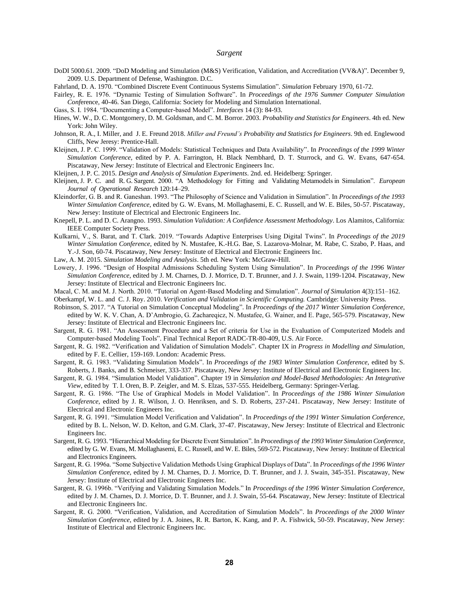- DoDI 5000.61. 2009. "DoD Modeling and Simulation (M&S) Verification, Validation, and Accreditation (VV&A)". December 9, 2009. U.S. Department of Defense, Washington. D.C.
- Fahrland, D. A. 1970. "Combined Discrete Event Continuous Systems Simulation". *Simulation* February 1970, 61-72.
- Fairley, R. E. 1976. "Dynamic Testing of Simulation Software". In *Proceedings of the 1976 Summer Computer Simulation Conf*erence, 40-46. San Diego, California: Society for Modeling and Simulation International.
- Gass, S. I. 1984. "Documenting a Computer-based Model". *Interfaces* 14 (3): 84-93.
- Hines, W. W., D. C. Montgomery, D. M. Goldsman, and C. M. Borror. 2003. *Probability and Statistics for Engineers*. 4th ed. New York: John Wiley.
- Johnson, R. A., I. Miller, and J. E. Freund 2018. *Miller and Freund's Probability and Statistics for Engineers*. 9th ed. Englewood Cliffs, New Jeresy: Prentice-Hall.
- Kleijnen, J. P. C. 1999. "Validation of Models: Statistical Techniques and Data Availability". In *Proceedings of the 1999 Winter Simulation Conference*, edited by P. A. Farrington, H. Black Nembhard, D. T. Sturrock, and G. W. Evans, 647-654. Piscataway, New Jersey: Institute of Electrical and Electronic Engineers Inc.
- Kleijnen, J. P. C. 2015. *Design and Analysis of Simulation Experiments*. 2nd. ed. Heidelberg: Springer.
- Kleijnen, J. P. C. and R. G. Sargent. 2000. "A Methodology for Fitting and Validating Metamodels in Simulation". *European Journal of Operational Research* 120:14–29.
- Kleindorfer, G. B. and R. Ganeshan. 1993. "The Philosophy of Science and Validation in Simulation". In *Proceedings of the 1993 Winter Simulation Conference*, edited by G. W. Evans, M. Mollaghasemi, E. C. Russell, and W. E. Biles, 50-57. Piscataway, New Jersey: Institute of Electrical and Electronic Engineers Inc.
- Knepell, P. L. and D. C. Arangno. 1993. *Simulation Validation: A Confidence Assessment Methodology*. Los Alamitos, California: IEEE Computer Society Press.
- Kulkarni, V., S. Barat, and T. Clark. 2019. "Towards Adaptive Enterprises Using Digital Twins". In *Proceedings of the 2019 Winter Simulation Conference*, edited by N. Mustafee, K.-H.G. Bae, S. Lazarova-Molnar, M. Rabe, C. Szabo, P. Haas, and Y.-J. Son, 60-74. Piscataway, New Jersey: Institute of Electrical and Electronic Engineers Inc.
- Law, A. M. 2015. *Simulation Modeling and Analysis*. 5th ed. New York: McGraw-Hill.
- Lowery, J. 1996. "Design of Hospital Admissions Scheduling System Using Simulation". In *Proceedings of the 1996 Winter Simulation Conference*, edited by J. M. Charnes, D. J. Morrice, D. T. Brunner, and J. J. Swain, 1199-1204. Piscataway, New Jersey: Institute of Electrical and Electronic Engineers Inc.
- Macal, C. M. and M. J. North. 2010. "Tutorial on Agent-Based Modeling and Simulation". *Journal of Simulation* 4(3):151–162.
- Oberkampf, W. L. and C. J. Roy. 2010. *Verification and Validation in Scientific Computing.* Cambridge: University Press.
- Robinson, S. 2017. "A Tutorial on Simulation Conceptual Modeling". In *Proceedings of the 2017 Winter Simulation Conference*, edited by W. K. V. Chan, A. D'Ambrogio, G. Zachareqicz, N. Mustafee, G. Wainer, and E. Page, 565-579. Piscataway, New Jersey: Institute of Electrical and Electronic Engineers Inc.
- Sargent, R. G. 1981. "An Assessment Procedure and a Set of criteria for Use in the Evaluation of Computerized Models and Computer-based Modeling Tools". Final Technical Report RADC-TR-80-409, U.S. Air Force.
- Sargent, R. G. 1982. "Verification and Validation of Simulation Models". Chapter IX in *Progress in Modelling and Simulation*, edited by F. E. Cellier, 159-169. London: Academic Press.
- Sargent, R. G. 1983. "Validating Simulation Models". In *Proceedings of the 1983 Winter Simulation Conference*, edited by S. Roberts, J. Banks, and B. Schmeiser, 333-337. Piscataway, New Jersey: Institute of Electrical and Electronic Engineers Inc.
- Sargent, R. G. 1984. "Simulation Model Validation". Chapter 19 in *Simulation and Model-Based Methodologies: An Integrative View*, edited by T. I. Oren, B. P. Zeigler, and M. S. Elzas, 537-555. Heidelberg, Germany: Springer-Verlag.
- Sargent, R. G. 1986. "The Use of Graphical Models in Model Validation". In *Proceedings of the 1986 Winter Simulation Conference*, edited by J. R. Wilson, J. O. Henriksen, and S. D. Roberts, 237-241. Piscataway, New Jersey: Institute of Electrical and Electronic Engineers Inc.
- Sargent, R. G. 1991. "Simulation Model Verification and Validation". In *Proceedings of the 1991 Winter Simulation Conference*, edited by B. L. Nelson, W. D. Kelton, and G.M. Clark, 37-47. Piscataway, New Jersey: Institute of Electrical and Electronic Engineers Inc.
- Sargent, R. G. 1993. "Hierarchical Modeling for Discrete Event Simulation".In *Proceedings of the 1993 Winter Simulation Conference*, edited by G. W. Evans, M. Mollaghasemi, E. C. Russell, and W. E. Biles, 569-572. Piscataway, New Jersey: Institute of Electrical and Electronics Engineers.
- Sargent, R. G. 1996a. "Some Subjective Validation Methods Using Graphical Displays of Data". In *Proceedings of the 1996 Winter Simulation Conference*, edited by J. M. Charnes, D. J. Morrice, D. T. Brunner, and J. J. Swain, 345-351. Piscataway, New Jersey: Institute of Electrical and Electronic Engineers Inc.
- Sargent, R. G. 1996b. "Verifying and Validating Simulation Models." In *Proceedings of the 1996 Winter Simulation Conference*, edited by J. M. Charnes, D. J. Morrice, D. T. Brunner, and J. J. Swain, 55-64. Piscataway, New Jersey: Institute of Electrical and Electronic Engineers Inc.
- Sargent, R. G. 2000. "Verification, Validation, and Accreditation of Simulation Models". In *Proceedings of the 2000 Winter Simulation Conference*, edited by J. A. Joines, R. R. Barton, K. Kang, and P. A. Fishwick, 50-59. Piscataway, New Jersey: Institute of Electrical and Electronic Engineers Inc.